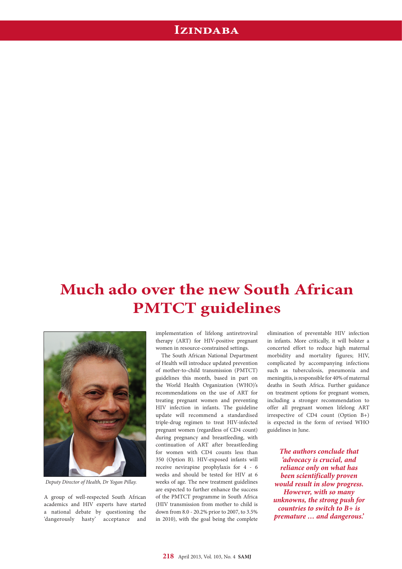# **Izindaba**

# **Much ado over the new South African PMTCT guidelines**



 *Deputy Director of Health, Dr Yogan Pillay.*

A group of well-respected South African academics and HIV experts have started a national debate by questioning the 'dangerously hasty' acceptance and

implementation of lifelong antiretroviral therapy (ART) for HIV-positive pregnant women in resource-constrained settings.

The South African National Department of Health will introduce updated prevention of mother-to-child transmission (PMTCT) guidelines this month, based in part on the World Health Organization (WHO)'s recommendations on the use of ART for treating pregnant women and preventing HIV infection in infants. The guideline update will recommend a standardised triple-drug regimen to treat HIV-infected pregnant women (regardless of CD4 count) during pregnancy and breastfeeding, with continuation of ART after breastfeeding for women with CD4 counts less than 350 (Option B). HIV-exposed infants will receive nevirapine prophylaxis for 4 - 6 weeks and should be tested for HIV at 6 weeks of age. The new treatment guidelines are expected to further enhance the success of the PMTCT programme in South Africa (HIV transmission from mother to child is down from 8.0 - 20.2% prior to 2007, to 3.5% in 2010), with the goal being the complete

elimination of preventable HIV infection in infants. More critically, it will bolster a concerted effort to reduce high maternal morbidity and mortality figures; HIV, complicated by accompanying infections such as tuberculosis, pneumonia and meningitis, is responsible for 40% of maternal deaths in South Africa. Further guidance on treatment options for pregnant women, including a stronger recommendation to offer all pregnant women lifelong ART irrespective of CD4 count (Option B+) is expected in the form of revised WHO guidelines in June.

*The authors conclude that 'advocacy is crucial, and reliance only on what has been scientifically proven would result in slow progress. However, with so many unknowns, the strong push for countries to switch to B+ is premature … and dangerous.'*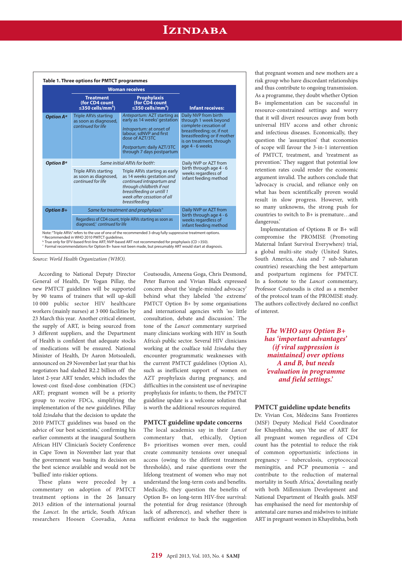|                  | <b>Woman receives</b>                                                                     |                                                                                                                                                                                                   |                                                                                                                                                                                  |
|------------------|-------------------------------------------------------------------------------------------|---------------------------------------------------------------------------------------------------------------------------------------------------------------------------------------------------|----------------------------------------------------------------------------------------------------------------------------------------------------------------------------------|
|                  | <b>Treatment</b><br>(for CD4 count<br>$\leq$ 350 cells/mm <sup>3</sup> )                  | <b>Prophylaxis</b><br>(for CD4 count<br>$\leq$ 350 cells/mm <sup>3</sup> )                                                                                                                        | <b>Infant receives:</b>                                                                                                                                                          |
| <b>Option Aa</b> | <b>Triple ARVs starting</b><br>as soon as diagnosed,<br>continued for life                | Antepartum: AZT starting as<br>early as 14 weeks' gestation<br>Intrapartum: at onset of<br>labour, sdNVP and first<br>dose of AZT/3TC<br>Postpartum: daily AZT/3TC<br>through 7 days postpartum   | Daily NVP from birth<br>through 1 week beyond<br>complete cessation of<br>breastfeeding; or, if not<br>breastfeeding or if mother<br>is on treatment, through<br>age 4 - 6 weeks |
| <b>Option Ba</b> | Same initial ARVs for both <sup>b</sup> :                                                 |                                                                                                                                                                                                   | Daily NVP or AZT from<br>birth through age 4 - 6                                                                                                                                 |
|                  | Triple ARVs starting<br>as soon as diagnosed,<br>continued for life                       | Triple ARVs starting as early<br>as 14 weeks gestation and<br>continued intrapartum and<br>through childbirth if not<br>breastfeeding or untill 1<br>week after cessation of all<br>breastfeeding | weeks regardless of<br>infant feeding method                                                                                                                                     |
| <b>Option B+</b> | Same for treatment and prophylaxis <sup>b</sup>                                           |                                                                                                                                                                                                   | Daily NVP or AZT from<br>birth through age 4 - 6<br>weeks regardless of<br>infant feeding method                                                                                 |
|                  | Regardless of CD4 count, triple ARVs starting as soon as<br>diagnosed, continued for life |                                                                                                                                                                                                   |                                                                                                                                                                                  |

*Source: World Health Organization (WHO).*

According to National Deputy Director General of Health, Dr Yogan Pillay, the new PMTCT guidelines will be supported by 90 teams of trainers that will up-skill 10 000 public sector HIV healthcare workers (mainly nurses) at 3 000 facilities by 23 March this year. Another critical element, the supply of ART, is being sourced from 3 different suppliers, and the Department of Health is confident that adequate stocks of medications will be ensured. National Minister of Health, Dr Aaron Motsoaledi, announced on 29 November last year that his negotiators had slashed R2.2 billion off the latest 2-year ART tender, which includes the lowest-cost fixed-dose combination (FDC) ART; pregnant women will be a priority group to receive FDCs, simplifying the implementation of the new guidelines. Pillay told *Izindaba* that the decision to update the 2010 PMTCT guidelines was based on the advice of 'our best scientists,' confirming his earlier comments at the inaugural Southern African HIV Clinician's Society Conference in Cape Town in November last year that the government was basing its decision on the best science available and would not be 'bullied' into riskier options.

These plans were preceded by a commentary on adoption of PMTCT treatment options in the 26 January 2013 edition of the international journal the *Lancet*. In the article, South African researchers Hoosen Coovadia, Anna Coutsoudis, Ameena Goga, Chris Desmond, Peter Barron and Vivian Black expressed concern about the 'single-minded advocacy' behind what they labeled 'the extreme' PMTCT Option B+ by some organisations and international agencies with 'so little consultation, debate and discussion.' The tone of the *Lancet* commentary surprised many clinicians working with HIV in South Africa's public sector. Several HIV clinicians working at the coalface told *Izindaba* they encounter programmatic weaknesses with the current PMTCT guidelines (Option A), such as inefficient support of women on AZT prophylaxis during pregnancy, and difficulties in the consistent use of nevirapine prophylaxis for infants; to them, the PMTCT guideline update is a welcome solution that is worth the additional resources required.

#### **PMTCT guideline update concerns**

The local academics say in their *Lancet* commentary that, ethically, Option B+ prioritises women over men, could create community tensions over unequal access (owing to the different treatment thresholds), and raise questions over the lifelong treatment of women who may not understand the long-term costs and benefits. Medically, they question the benefits of Option B+ on long-term HIV-free survival: the potential for drug resistance (through lack of adherence), and whether there is sufficient evidence to back the suggestion

that pregnant women and new mothers are a risk group who have discordant relationships and thus contribute to ongoing transmission. As a programme, they doubt whether Option B+ implementation can be successful in resource-constrained settings and worry that it will divert resources away from both universal HIV access and other chronic and infectious diseases. Economically, they question the 'assumption' that economies of scope will favour the 3-in-1 intervention of PMTCT, treatment, and 'treatment as prevention.' They suggest that potential low retention rates could render the economic argument invalid. The authors conclude that 'advocacy is crucial, and reliance only on what has been scientifically proven would result in slow progress. However, with so many unknowns, the strong push for countries to switch to B+ is premature…and dangerous.'

Implementation of Options B or B+ will compromise the PROMISE (Promoting Maternal Infant Survival Everywhere) trial, a global multi-site study (United States, South America, Asia and 7 sub-Saharan countries) researching the best antepartum and postpartum regimens for PMTCT. In a footnote to the *Lancet* commentary, Professor Coutsoudis is cited as a member of the protocol team of the PROMISE study. The authors collectively declared no conflict of interest.

*The WHO says Option B+ has 'important advantages' (if viral suppression is maintained) over options A and B, but needs 'evaluation in programme and field settings.'*

## **PMTCT guideline update benefits**

Dr. Vivian Cox, Médecins Sans Frontieres (MSF) Deputy Medical Field Coordinator for Khayelitsha, says 'the use of ART for all pregnant women regardless of CD4 count has the potential to reduce the risk of common opportunistic infections in pregnancy – tuberculosis, cryptococcal meningitis, and PCP pneumonia – and contribute to the reduction of maternal mortality in South Africa,' dovetailing neatly with both Millennium Development and National Department of Health goals. MSF has emphasised the need for mentorship of antenatal care nurses and midwives to initiate ART in pregnant women in Khayelitsha, both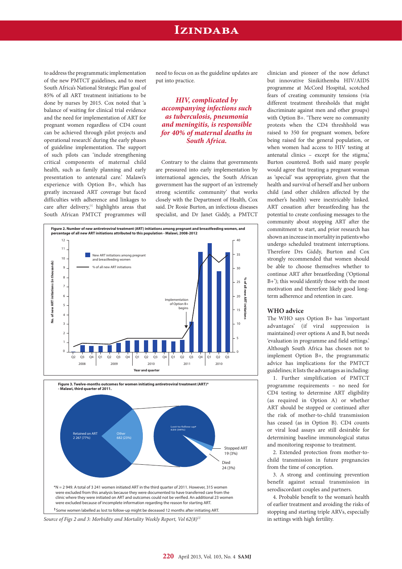to address the programmatic implementation of the new PMTCT guidelines, and to meet South Africa's National Strategic Plan goal of 85% of all ART treatment initiations to be done by nurses by 2015. Cox noted that 'a balance of waiting for clinical trial evidence and the need for implementation of ART for pregnant women regardless of CD4 count can be achieved through pilot projects and operational research' during the early phases of guideline implementation. The support of such pilots can 'include strengthening critical components of maternal child health, such as family planning and early presentation to antenatal care.' Malawi's experience with Option B+, which has greatly increased ART coverage but faced difficulties with adherence and linkages to care after delivery,<sup>[1]</sup> highlights areas that South African PMTCT programmes will

need to focus on as the guideline updates are put into practice.

# *HIV, complicated by accompanying infections such as tuberculosis, pneumonia and meningitis, is responsible for 40% of maternal deaths in South Africa.*

Contrary to the claims that governments are pressured into early implementation by international agencies, the South African government has the support of an 'extremely strong scientific community' that works closely with the Department of Health, Cox said. Dr Rosie Burton, an infectious diseases specialist, and Dr Janet Giddy, a PMTCT





Source of Figs 2 and 3: Morbidity and Mortality Weekly Report, Vol 62(8)<sup>[2]</sup>

clinician and pioneer of the now defunct but innovative Sinikithemba HIV/AIDS programme at McCord Hospital, scotched fears of creating community tensions (via different treatment thresholds that might discriminate against men and other groups) with Option B+. 'There were no community protests when the CD4 threshhold was raised to 350 for pregnant women, before being raised for the general population, or when women had access to HIV testing at antenatal clinics – except for the stigma,' Burton countered. Both said many people would agree that treating a pregnant woman as 'special' was appropriate, given that the health and survival of herself and her unborn child (and other children affected by the mother's health) were inextricably linked. ART cessation after breastfeeding has the potential to create confusing messages to the community about stopping ART after the commitment to start, and prior research has shown an increase in mortality in patients who undergo scheduled treatment interruptions. Therefore Drs Giddy, Burton and Cox strongly recommended that women should be able to choose themselves whether to continue ART after breastfeeding ('Optional B+'); this would identify those with the most motivation and thererfore likely good longterm adherence and retention in care.

## **WHO advice**

The WHO says Option B+ has 'important advantages' (if viral suppression is maintained) over options A and B, but needs 'evaluation in programme and field settings.' Although South Africa has chosen not to implement Option B+, the programmatic advice has implications for the PMTCT guidelines; it lists the advantages as including:

1. Further simplification of PMTCT programme requirements – no need for CD4 testing to determine ART eligibility (as required in Option A) or whether ART should be stopped or continued after the risk of mother-to-child transmission has ceased (as in Option B). CD4 counts or viral load assays are still desirable for determining baseline immunological status and monitoring response to treatment.

2. Extended protection from mother-tochild transmission in future pregnancies from the time of conception.

3. A strong and continuing prevention benefit against sexual transmission in serodiscordant couples and partners.

4. Probable benefit to the woman's health of earlier treatment and avoiding the risks of stopping and starting triple ARVs, especially in settings with high fertility.